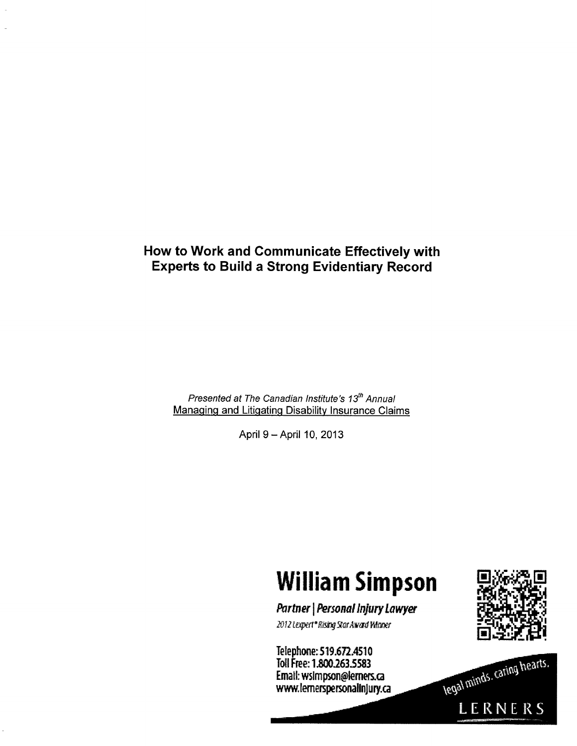# How to Work and Communicate Effectively with Experts to Build a Strong Evidentiary Record

Presented at The Canadian Institute's 13<sup>th</sup> Annual Managing and Litigating Disability Insurance Claims

April 9 - April 10, 2013

# William Simpson

Partner | Personal Injury Lawyer 2012 Lexpert\*Rising Star Award Winner

Telephone: 519.672.4510 Tolphymus Marketsty<br>T.H.F. . . . Aaa aan bonn Email:wsimpsofl@•ca Email: wsimpson@lemers.ca<br>www.lemerspersonalinjury.ca



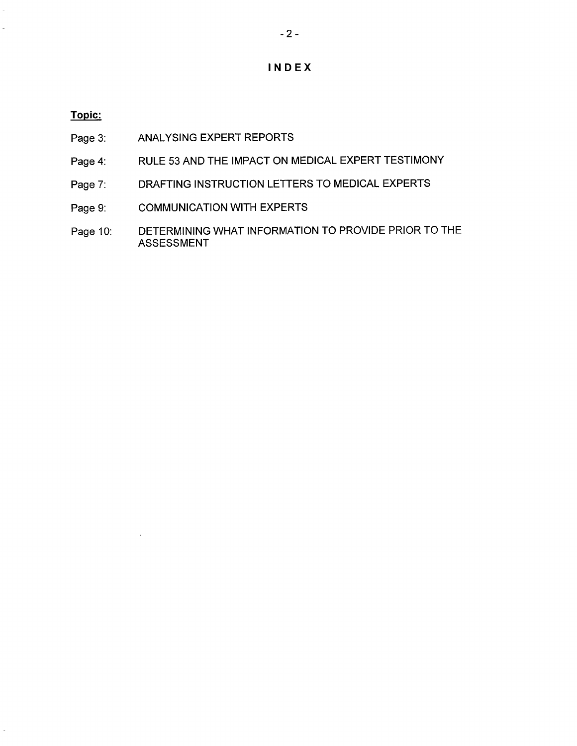# INDEX

## Topic:

- Page 3: ANALYSING EXPERT REPORTS
- Page 4: RULE 53 AND THE IMPACT ON MEDICAL EXPERT TESTIMONY
- Page 7: DRAFTING INSTRUCTION LETTERS TO MEDICAL EXPERTS
- Page 9: COMMUNICATION WITH EXPERTS
- Page 10: DETERMINING WHAT INFORMATION TO PROVIDE PRIOR TO THE UE I ENMINING<br>AOOFOOMENT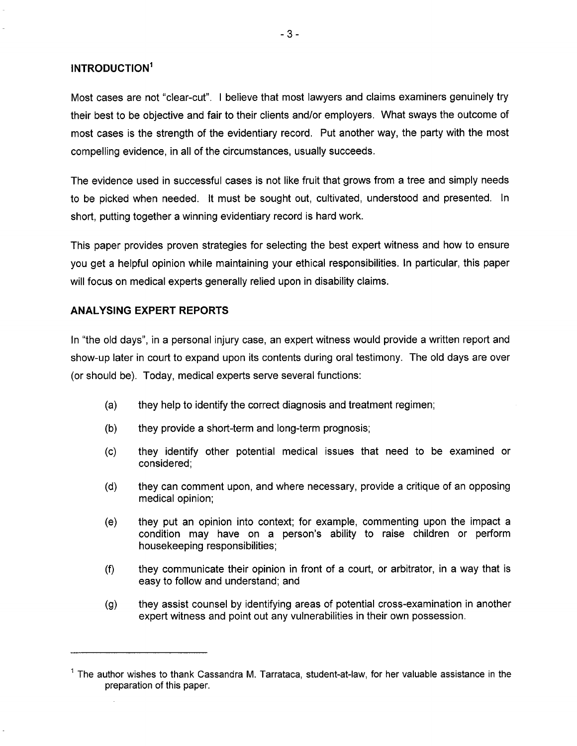## INTRODUCTION

Most cases are not "clear-cut". I believe that most lawyers and claims examiners genuinely try their best to be objective and fair to their clients and/or employers. What sways the outcome of most cases is the strength of the evidentiary record. Put another way, the party with the most compelling evidence, in all of the circumstances, usually succeeds.

The evidence used in successful cases is not like fruit that grows from a tree and simply needs to be picked when needed. It must be sought out, cultivated, understood and presented. In short, putting together a winning evidentiary record is hard work.

This paper provides proven strategies for selecting the best expert witness and how to ensure you get a helpful opinion while maintaining your ethical responsibilities. In particular, this paper will focus on medical experts generally relied upon in disability claims.

#### ANALYSING EXPERT REPORTS

l.

In "the old days", in a personal injury case, an expert witness would provide a written report and show-up later in court to expand upon its contents during oral testimony. The old days are over (or should be). Today, medical experts serve several functions:

- (a) they help to identify the correct diagnosis and treatment regimen;
- (b) they provide a short-term and long-term prognosis;
- (c) they identify other potential medical issues that need to be examined or considered;
- (d) they can comment upon, and where necessary, provide a critique of an opposing medical opinion;
- (e) they put an opinion into context; for example, commenting upon the impact a condition may have on a person's ability to raise children or perform housekeeping responsibilities;
- (f) they communicate their opinion in front of a court, or arbitrator, in a way that is easy to follow and understand; and
- (g) they assist counsel by identifying areas of potential cross-examination in another expert witness and point out any vulnerabilities in their own possession.

 $<sup>1</sup>$  The author wishes to thank Cassandra M. Tarrataca, student-at-law, for her valuable assistance in the</sup> preparation of this paper.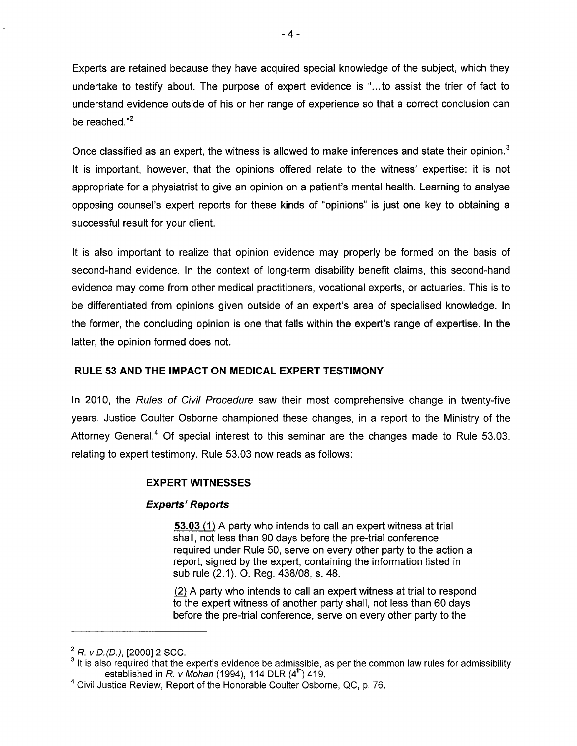Experts are retained because they have acquired special knowledge of the subject, which they undertake to testify about. The purpose of expert evidence is "...to assist the trier of fact to understand evidence outside of his or her range of experience so that a correct conclusion can be reached. $2^2$ 

Once classified as an expert, the witness is allowed to make inferences and state their opinion.<sup>3</sup> It is important, however, that the opinions offered relate to the witness' expertise: it is not appropriate for a physiatrist to give an opinion on a patient's mental health. Learning to analyse opposing counsel's expert reports for these kinds of "opinions" is just one key to obtaining a successful result for your client.

It is also important to realize that opinion evidence may properly be formed on the basis of second-hand evidence. In the context of long-term disability benefit claims, this second-hand evidence may come from other medical practitioners, vocational experts, or actuaries. This is to be differentiated from opinions given outside of an expert's area of specialised knowledge. In the former, the concluding opinion is one that falls within the expert's range of expertise. In the latter, the opinion formed does not.

## RULE 53 AND THE IMPACT ON MEDICAL EXPERT TESTIMONY

In 2010, the Rules of Civil Procedure saw their most comprehensive change in twenty-five years. Justice Coulter Osborne championed these changes, in a report to the Ministry of the Attorney General.<sup>4</sup> Of special interest to this seminar are the changes made to Rule 53.03, relating to expert testimony. Rule 53.03 now reads as follows:

#### EXPERT WITNESSES

## Experts" Reports

53.03 (1) A party who intends to call an expert witness at trial shall, not less than 90 days before the pre-trial conference required under Rule 50, serve on every other party to the action a report, signed by the expert, containing the information listed in sub rule (2.1). O. Reg. 438/08, s. 48.

(2) A party who intends to call an expert witness at trial to respond to the expert witness of another party shall, not less than 60 days before the pre-trial conference, serve on every other party to the

 $R. v D. (D.).$  [2000] 2 SCC.

 $3$  It is also required that the expert's evidence be admissible, as per the common law rules for admissibility established in R. v Mohan (1994), 114 DLR  $(4<sup>th</sup>)$  419.

Civil Justice Review, Report of the Honorable Coulter Osborne, QC, p. 76.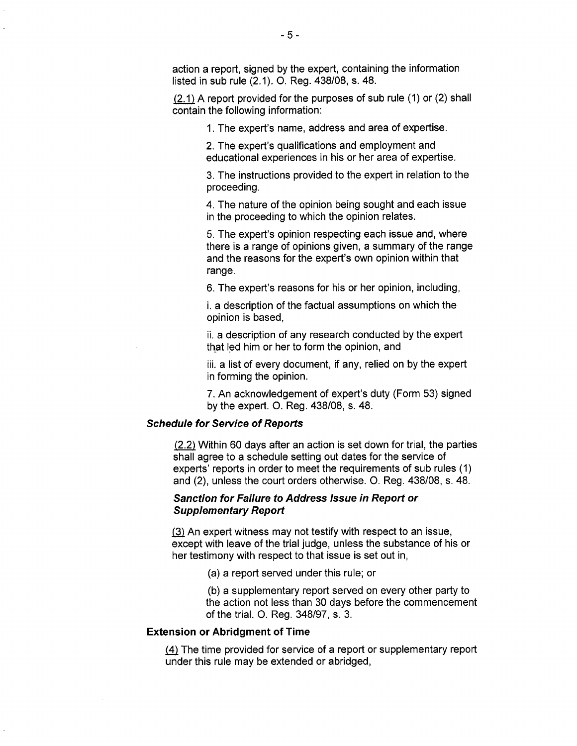action a report, signed by the expert, containing the information listed in sub rule (2.1). O. Reg. 438/08, s. 48.

 $(2.1)$  A report provided for the purposes of sub rule (1) or (2) shall contain the following information:

1. The expert's name, address and area of expertise.

2. The expert's qualifications and employment and educational experiences in his or her area of expertise.

3. The instructions provided to the expert in relation to the proceeding.

4. The nature of the opinion being sought and each issue in the proceeding to which the opinion relates.

5. The expert's opinion respecting each issue and, where there is a range of opinions given, a summary of the range and the reasons for the expert's own opinion within that range.

6. The expert's reasons for his or her opinion, including,

i. a description of the factual assumptions on which the opinion is based,

ii. a description of any research conducted by the expert that led him or her to form the opinion, and

iii. a list of every document, if any, relied on by the expert in forming the opinion.

7. An acknowledgement of expert's duty (Form 53) signed by the expert. O. Reg. 438/08, s. 48.

#### Schedule for Service of Reports

 $(2.2)$  Within 60 days after an action is set down for trial, the parties shall agree to a schedule setting out dates for the service of experts' reports in order to meet the requirements of sub rules (1) and (2), unless the court orders otherwise. O. Reg. 438/08, s. 48.

# Sanction for Failure to Address Issue in Report or Sanchon for Fandre to

(3) An expert witness may not testify with respect to an issue, except with leave of the trial judge, unless the substance of his or her testimony with respect to that issue is set out in,

(a) a report served under this rule; or

(b) a supplementary report served on every other party to the action not less than 30 days before the commencement of the trial. O. Reg. 348/97, s. 3.

#### Extension or Abridgment of Time

(4) The time provided for service of a report or supplementary report under this rule may be extended or abridged,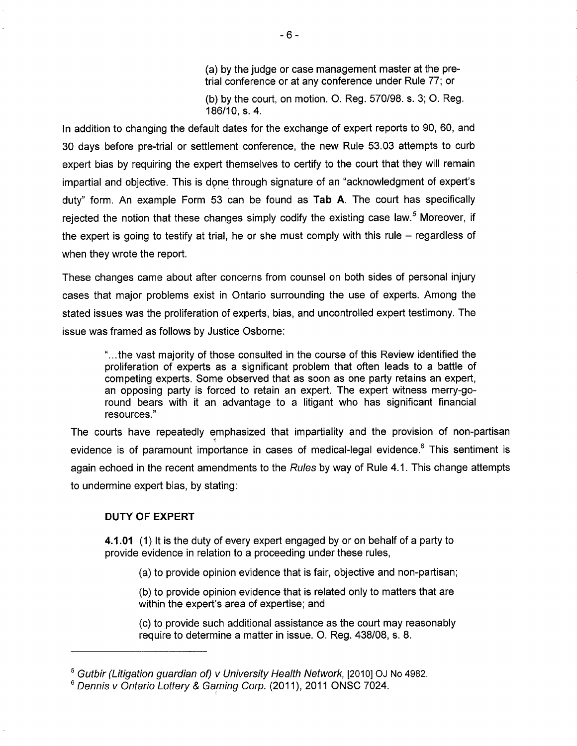(a) by the judge or case management master at the pretrial conference or at any conference under Rule 77; or (b) by the court, on motion. O. Reg. 570/98. s. 3; O. Reg. 186/10, s. 4.

In addition to changing the default dates for the exchange of expert reports to 90, 60, and 30 days before pre-trial or settlement conference, the new Rule 53.03 attempts to curb expert bias by requiring the expert themselves to certify to the court that they will remain impartial and objective. This is done through signature of an "acknowledgment of expert's duty" form. An example Form 53 can be found as Tab A. The court has specifically rejected the notion that these changes simply codify the existing case law.<sup>5</sup> Moreover, if the expert is going to testify at trial, he or she must comply with this rule  $-$  regardless of when they wrote the report.

These changes came about after concerns from counsel on both sides of personal injury cases that major problems exist in Ontario surrounding the use of experts. Among the stated issues was the proliferation of experts, bias, and uncontrolled expert testimony. The issue was framed as follows by Justice Osborne:

> "...the vast majority of those consulted in the course of this Review identified the proliferation of experts as a significant problem that often leads to a battle of competing experts. Some observed that as soon as one party retains an expert, an opposing party is forced to retain an expert. The expert witness merry-goround bears with it an advantage to a litigant who has significant financial resources."

The courts have repeatedly emphasized that impartiality and the provision of non-partisan evidence is of paramount importance in cases of medical-legal evidence.<sup>6</sup> This sentiment is again echoed in the recent amendments to the Rules by way of Rule 4.1. This change attempts to undermine expert bias, by stating:

## DUTY OF EXPERT

4.1.01 (1) It is the duty of every expert engaged by or on behalf of a party to provide evidence in relation to a proceeding under these rules,

(a) to provide opinion evidence that is fair, objective and non-partisan;

(b) to provide opinion evidence that is related only to matters that are within the expert's area of expertise; and

(c) to provide such additional assistance as the court may reasonably require to determine a matter in issue. O. Reg. 438/08, s. 8.

<sup>&</sup>lt;sup>5</sup> Gutbir (Litigation guardian of) v University Health Network, [2010] OJ No 4982.

<sup>&</sup>lt;sup>6</sup> Dennis v Ontario Lottery & Gaming Corp. (2011), 2011 ONSC 7024.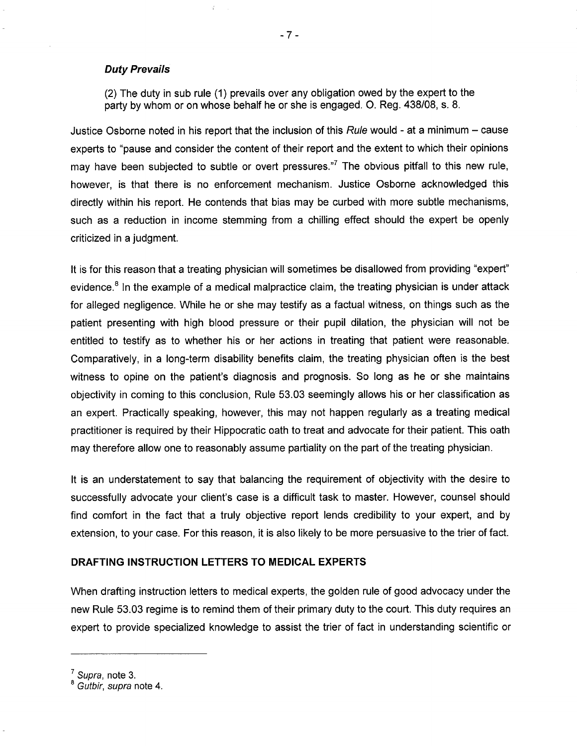#### Duty Prevails

(2) The duty in sub rule (1) prevails over any obligation owed by the expert to the party by whom or on whose behalf he or she is engaged. O. Reg. 438/08, s. 8.

Justice Osborne noted in his report that the inclusion of this Rule would - at a minimum  $-$  cause experts to "pause and consider the content of their report and the extent to which their opinions may have been subjected to subtle or overt pressures."<sup>7</sup> The obvious pitfall to this new rule, however, is that there is no enforcement mechanism. Justice Osborne acknowledged this directly within his report. He contends that bias may be curbed with more subtle mechanisms, such as a reduction in income stemming from a chilling effect should the expert be openly criticized in a judgment.

It is for this reason that a treating physician will sometimes be disallowed from providing "expert" evidence. $8$  In the example of a medical malpractice claim, the treating physician is under attack for alleged negligence. While he or she may testify as a factual witness, on things such as the patient presenting with high blood pressure or their pupil dilation, the physician will not be entitled to testify as to whether his or her actions in treating that patient were reasonable. Comparatively, in a long-term disability benefits claim, the treating physician often is the best witness to opine on the patient's diagnosis and prognosis. So long as he or she maintains objectivity in coming to this conclusion, Rule 53.03 seemingly allows his or her classification as an expert. Practically speaking, however, this may not happen regularly as a treating medical practitioner is required by their Hippocratic oath to treat and advocate for their patient. This oath may therefore allow one to reasonably assume partiality on the part of the treating physician.

It is an understatement to say that balancing the requirement of objectivity with the desire to successfully advocate your client's case is a difficult task to master. However, counsel should find comfort in the fact that a truly objective report lends credibility to your expert, and by extension, to your case. For this reason, it is also likely to be more persuasive to the trier of fact.

#### DRAFTING INSTRUCTION LETTERS TO MEDICAL EXPERTS

When drafting instruction letters to medical experts, the golden rule of good advocacy under the new Rule 53.03 regime is to remind them of their primary duty to the court. This duty requires an expert to provide specialized knowledge to assist the trier of fact in understanding scientific or

 $\frac{7}{1}$  Supra, note 3.

<sup>&</sup>lt;sup>8</sup> Gutbir, supra note 4.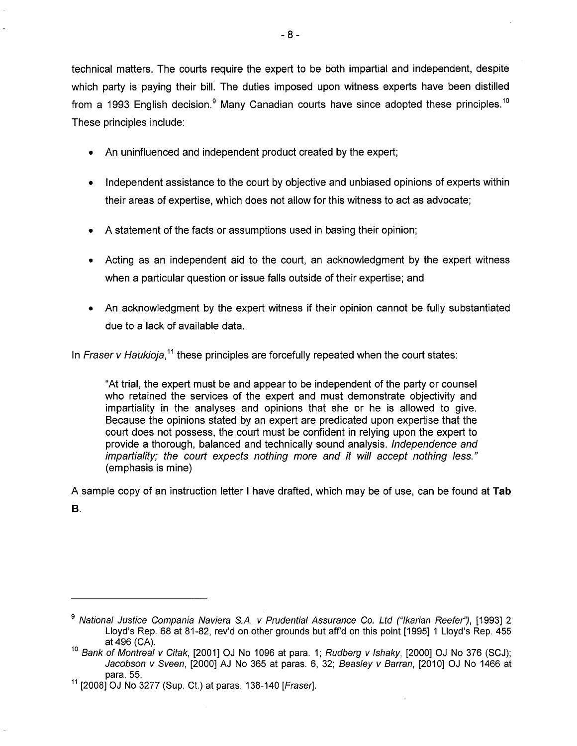technical matters. The courts require the expert to be both impartial and independent, despite which party is paying their bill. The duties imposed upon witness experts have been distilled from a 1993 English decision.<sup>9</sup> Many Canadian courts have since adopted these principles.<sup>10</sup> These principles include:

- An uninfluenced and independent product created by the expert;
- Independent assistance to the court by objective and unbiased opinions of experts within their areas of expertise, which does not allow for this witness to act as advocate;
- A statement of the facts or assumptions used in basing their opinion;
- Acting as an independent aid to the court, an acknowledgment by the expert witness when a particular question or issue falls outside of their expertise; and
- An acknowledgment by the expert witness if their opinion cannot be fully substantiated due to a lack of available data.

In Fraser v Haukioja,<sup>11</sup> these principles are forcefully repeated when the court states:

"At trial, the expert must be and appear to be independent of the party or counsel who retained the services of the expert and must demonstrate objectivity and impartiality in the analyses and opinions that she or he is allowed to give. Because the opinions stated by an expert are predicated upon expertise that the court does not possess, the court must be confident in relying upon the expert to provide a thorough, balanced and technically sound analysis. Independence and impartiality; the court expects nothing more and it will accept nothing less." (emphasis is mine)

A sample copy of an instruction letter I have drafted, which may be of use, can be found at Tab B.

<sup>&</sup>lt;sup>9</sup> National Justice Compania Naviera S.A. v Prudential Assurance Co. Ltd ("Ikarian Reefer"), [1993] 2 Lloyd's Rep. 68 at 81-82, rev'd on other grounds but aff'd on this point [1995] 1 Lloyd's Rep. 455 at 496 (CA).

<sup>&</sup>lt;sup>10</sup> Bank of Montreal v Citak, [2001] OJ No 1096 at para. 1; Rudberg v Ishaky, [2000] OJ No 376 (SCJ); Jacobson v Sveen, [2000] AJ No 365 at paras. 6, 32; Beasley v Barran, [2010] OJ No 1466 at para. 55.

 $11$  [2008] OJ No 3277 (Sup. Ct.) at paras. 138-140 [Fraser].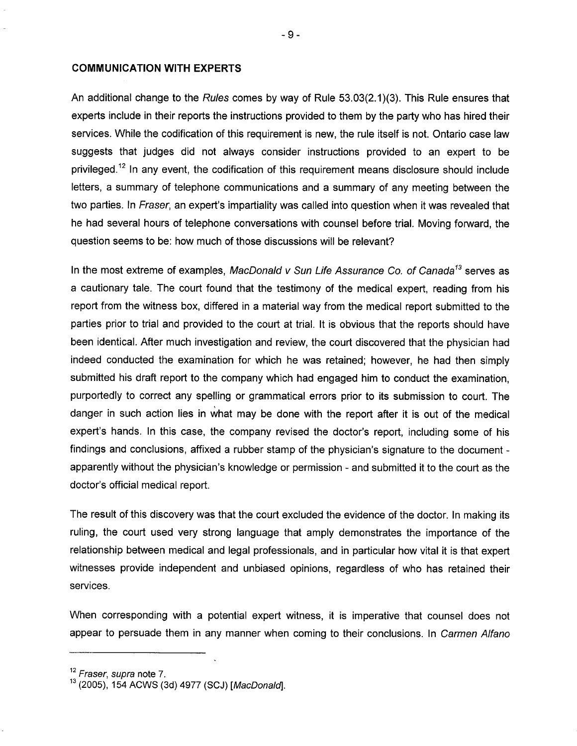#### COMMUNICATION WITH EXPERTS

An additional change to the Rules comes by way of Rule 53.03(2.1)(3). This Rule ensures that experts include in their reports the instructions provided to them by the party who has hired their services. While the codification of this requirement is new, the rule itself is not. Ontario case law suggests that judges did not always consider instructions provided to an expert to be privileged.<sup>12</sup> In any event, the codification of this requirement means disclosure should include letters, a summary of telephone communications and a summary of any meeting between the two parties. In Fraser, an expert's impartiality was called into question when it was revealed that he had several hours of telephone conversations with counsel before trial. Moving forward, the question seems to be: how much of those discussions will be relevant?

In the most extreme of examples, MacDonald v Sun Life Assurance Co. of Canada<sup>13</sup> serves as a cautionary tale. The court found that the testimony of the medical expert, reading from his report from the witness box, differed in a material way from the medical report submitted to the parties prior to trial and provided to the court at trial. It is obvious that the reports should have been identical. After much investigation and review, the court discovered that the physician had indeed conducted the examination for which he was retained; however, he had then simply submitted his draft report to the company which had engaged him to conduct the examination, purportedly to correct any spelling or grammatical errors prior to its submission to court. The danger in such action lies in what may be done with the report after it is out of the medical expert's hands. In this case, the company revised the doctor's report, including some of his findings and conclusions, affixed a rubber stamp of the physician's signature to the document apparently without the physician's knowledge or permission - and submitted it to the court as the doctor's official medical report.

The result of this discovery was that the court excluded the evidence of the doctor. In making its ruling, the court used very strong language that amply demonstrates the importance of the relationship between medical and legal professionals, and in particular how vital it is that expert witnesses provide independent and unbiased opinions, regardless of who has retained their services.

When corresponding with a potential expert witness, it is imperative that counsel does not appear to persuade them in any manner when coming to their conclusions. In Carmen Alfano

Fraser, supra note 7.

riaser, supra note *i*.<br>(0005), 154 AOMO (0.1), 1077 (00.1), MacDonald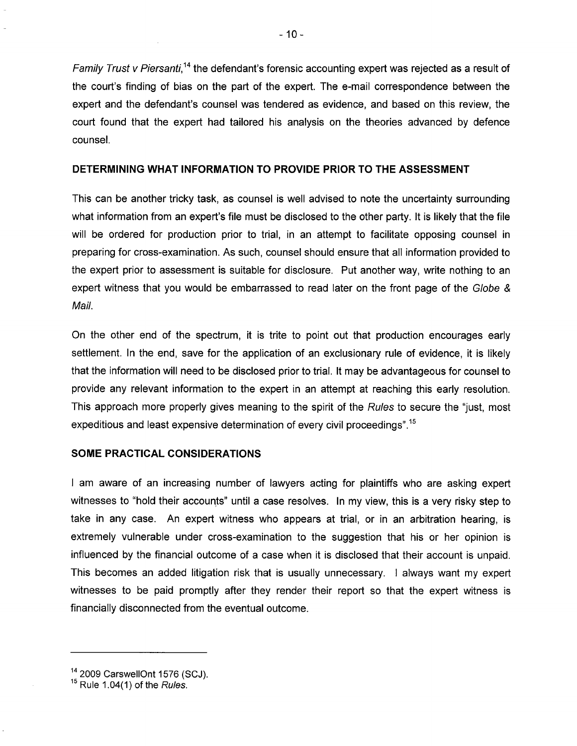Family Trust v Piersanti,<sup>14</sup> the defendant's forensic accounting expert was rejected as a result of the court's finding of bias on the part of the expert. The e-mail correspondence between the expert and the defendant's counsel was tendered as evidence, and based on this review, the court found that the expert had tailored his analysis on the theories advanced by defence counsel.

#### DETERMINING WHAT INFORMATION TO PROVIDE PRIOR TO THE ASSESSMENT

This can be another tricky task, as counsel is well advised to note the uncertainty surrounding what information from an expert's file must be disclosed to the other party. It is likely that the file will be ordered for production prior to trial, in an attempt to facilitate opposing counsel in preparing for cross-examination. As such, counsel should ensure that all information provided to the expert prior to assessment is suitable for disclosure. Put another way, write nothing to an expert witness that you would be embarrassed to read later on the front page of the Globe & Mail.

On the other end of the spectrum, it is trite to point out that production encourages early settlement. In the end, save for the application of an exclusionary rule of evidence, it is likely that the information will need to be disclosed prior to trial. It may be advantageous for counsel to provide any relevant information to the expert in an attempt at reaching this early resolution. This approach more properly gives meaning to the spirit of the Rules to secure the "just, most expeditious and least expensive determination of every civil proceedings". 15

#### SOME PRACTICAL CONSIDERATIONS

I am aware of an increasing number of lawyers acting for plaintiffs who are asking expert witnesses to "hold their accounts" until a case resolves. In my view, this is a very risky step to take in any case. An expert witness who appears at trial, or in an arbitration hearing, is extremely vulnerable under cross-examination to the suggestion that his or her opinion is influenced by the financial outcome of a case when it is disclosed that their account is unpaid. This becomes an added litigation risk that is usually unnecessary. I always want my expert witnesses to be paid promptly after they render their report so that the expert witness is financially disconnected from the eventual outcome.

 $20000 \times 1576 (00)$ 

 $R = 1.4 \, \text{MeV}$  of the Rules.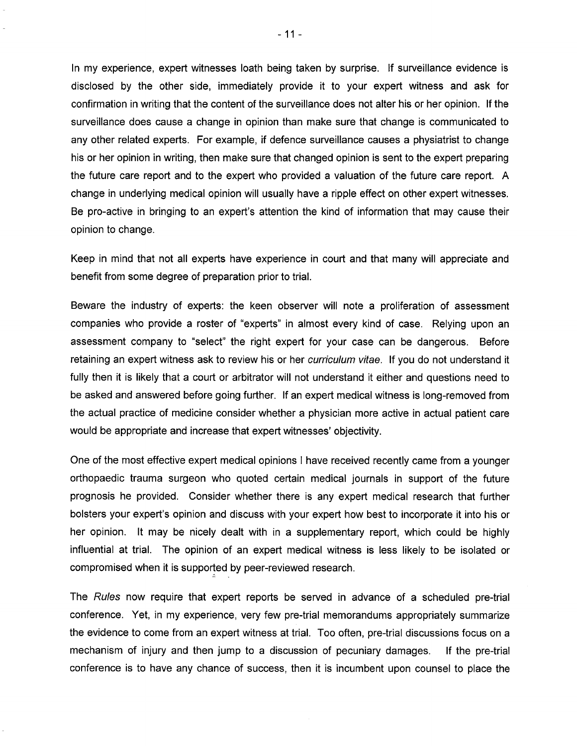In my experience, expert witnesses loath being taken by surprise. If surveillance evidence is disclosed by the other side, immediately provide it to your expert witness and ask for confirmation in writing that the content of the surveillance does not alter his or her opinion. If the surveillance does cause a change in opinion than make sure that change is communicated to any other related experts. For example, if defence surveillance causes a physiatrist to change his or her opinion in writing, then make sure that changed opinion is sent to the expert preparing the future care report and to the expert who provided a valuation of the future care report. A change in underlying medical opinion will usually have a ripple effect on other expert witnesses. Be pro-active in bringing to an expert's attention the kind of information that may cause their opinion to change.

Keep in mind that not all experts have experience in court and that many will appreciate and benefit from some degree of preparation prior to trial.

Beware the industry of experts: the keen observer will note a proliferation of assessment companies who provide a roster of "experts" in almost every kind of case. Relying upon an assessment company to "select" the right expert for your case can be dangerous. Before retaining an expert witness ask to review his or her *curriculum vitae*. If you do not understand it fully then it is likely that a court or arbitrator will not understand it either and questions need to be asked and answered before going further. If an expert medical witness is long-removed from the actual practice of medicine consider whether a physician more active in actual patient care would be appropriate and increase that expert witnesses' objectivity.

One of the most effective expert medical opinions I have received recently came from a younger orthopaedic trauma surgeon who quoted certain medical journals in support of the future prognosis he provided. Consider whether there is any expert medical research that further bolsters your expert's opinion and discuss with your expert how best to incorporate it into his or her opinion. It may be nicely dealt with in a supplementary report, which could be highly influential at trial. The opinion of an expert medical witness is less likely to be isolated or compromised when it is supported by peer-reviewed research.

The Rules now require that expert reports be served in advance of a scheduled pre-trial conference. Yet, in my experience, very few pre-trial memorandums appropriately summarize the evidence to come from an expert witness at trial. Too often, pre-trial discussions focus on a mechanism of injury and then jump to a discussion of pecuniary damages. If the pre-trial conference is to have any chance of success, then it is incumbent upon counsel to place the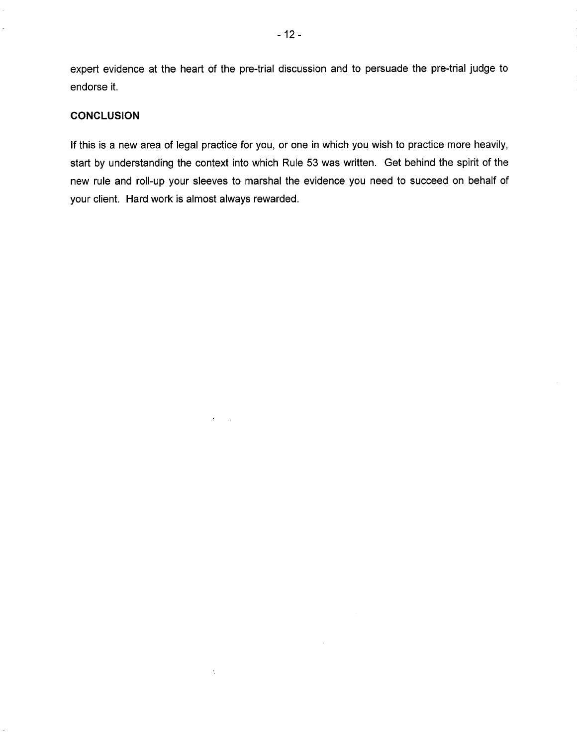expert evidence at the heart of the pre-trial discussion and to persuade the pre-trial judge to endorse it.

#### **CONCLUSION**

If this is a new area of legal practice for you, or one in which you wish to practice more heavily, start by understanding the context into which Rule 53 was written. Get behind the spirit of the new rule and roll-up your sleeves to marshal the evidence you need to succeed on behalf of your client. Hard work is almost always rewarded.

 $\delta \sim 10$ 

 $\mathcal{L}_\mathrm{c}$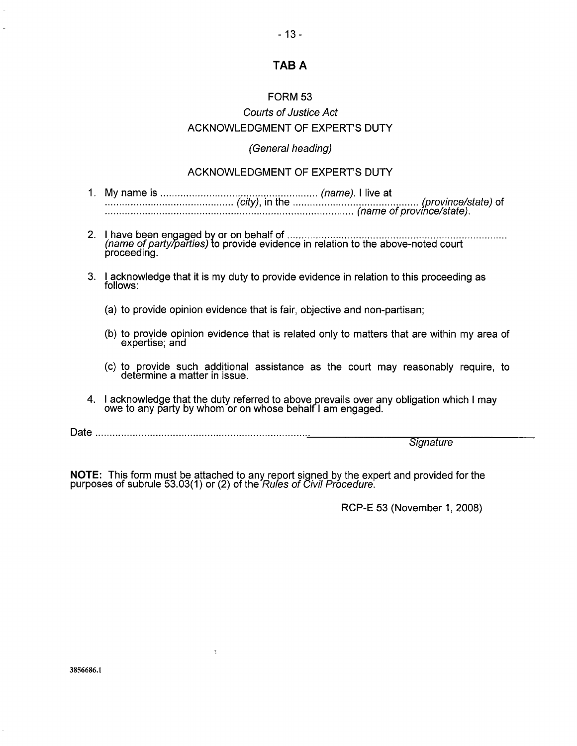# TAB A

#### FORM 53

# Courts of Justice Act ACKNOWLEDGMENT OF EXPERT'S DUTY

#### (General heading)

#### ACKNOWLEDGMENT OF EXPERT'S DUTY

- 1. My name is (name). live at  $\frac{1}{(city)}$ , in the  $\frac{1}{(name)}$ . The at  $\frac{1}{(porovince/state)}$  of
- 2. have been engaged by or on behalf of ( have been engaged by or on behalf of  $\ldots$   $\ldots$   $\ldots$   $\ldots$   $\ldots$   $\ldots$   $\ldots$   $\ldots$   $\ldots$   $\ldots$   $\ldots$   $\ldots$   $\ldots$ parına bi ha
- 3. I acknowledge that it is my duty to provide evidence in relation to this proceeding as
	- (a) to provide opinion evidence that is fair, objective and non-partisan;
	- (b) to provide opinion evidence that is related only to matters that are within my area of
	- (c) to provide such additional assistance as the court may reasonably require, to determine a matter in issue.
- $4$ . Lacknowledge that the duty referred to above provails over any obligation which Lmoy I acknowledge that the duty referred to above prevalls over all<br>owe to any party by whom or on whose behalf I am engaged.

Date

**Signature** 

 $\overline{N}$  This form must be attached to any report signed by the expert and provided for the  $\overline{N}$ purposes of subrule 53.03(1 or (2) of the Rules of Civil Procedure.

Š.

RCP-E 53 (November 1, 2008)

3856686.1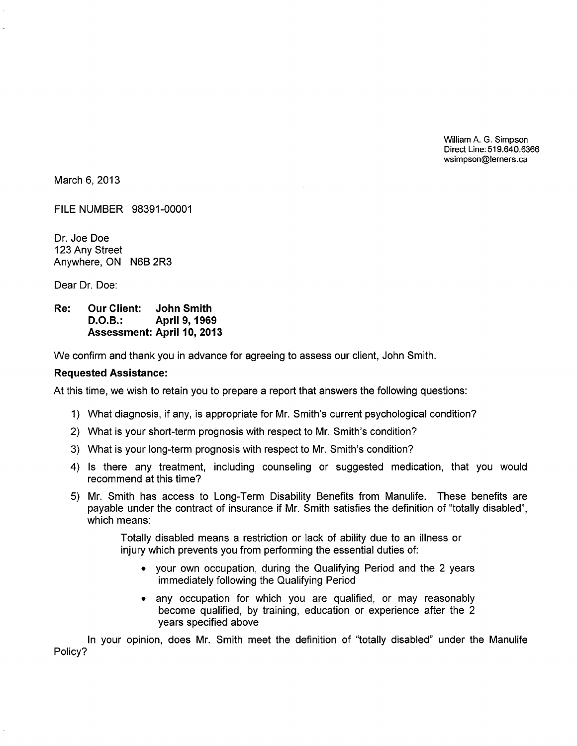William A. G. Simpson  $P: U: U: F19.649.6366$  $m_{\rm e}$  and  $m_{\rm e}$  and  $m_{\rm e}$ 

March 6, 2013

FILE NUMBER 98391-00001

Dr. Joe Doe 123 Any Street Anywhere, ON N6B 2R3

Dear Dr. Doe:

## Re: Our Client: John Smith D.O.B.: April 9, 1969 Assessment: April 10, 2013

We confirm and thank you in advance for agreeing to assess our client, John Smith.

#### Requested Assistance:

At this time, we wish to retain you to prepare a report that answers the following questions:

- 1) What diagnosis, if any, is appropriate for Mr. Smith's current psychological condition?
- 2) What is your short-term prognosis with respect to Mr. Smith's condition?
- 3) What is your long-term prognosis with respect to Mr. Smith's condition?
- 4) Is there any treatment, including counseling or suggested medication, that you would recommend at this time?
- 5) Mr. Smith has access to Long-Term Disability Benefits from Manulife. These benefits are payable under the contract of insurance if Mr. Smith satisfies the definition of "totally disabled", which means:

Totally disabled means a restriction or lack of ability due to an illness or injury which prevents you from performing the essential duties of:

- your own occupation, during the Qualifying Period and the 2 years immediately following the Qualifying Period
- any occupation for which you are qualified, or may reasonably become qualified, by training, education or experience after the 2 years specified above

In your opinion, does Mr. Smith meet the definition of "totally disabled" under the Manulife Policy?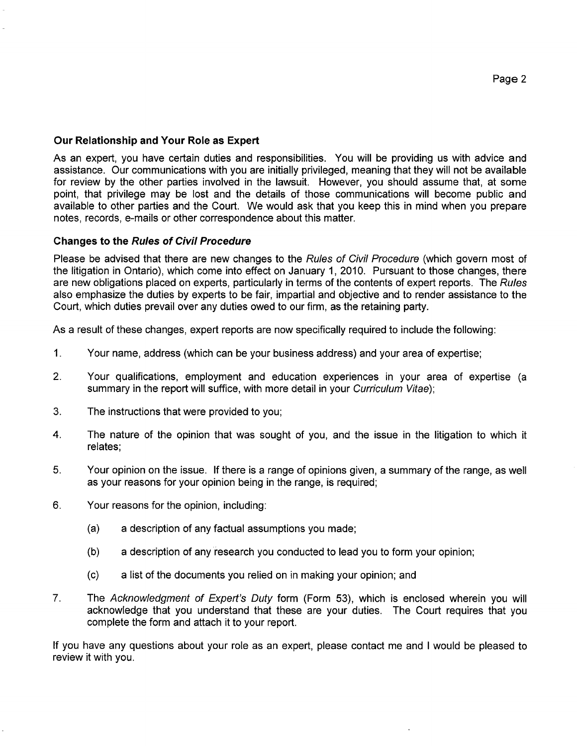#### Our Relationship and Your Role as Expert

As an expert, you have certain duties and responsibilities. You will be providing us with advice and assistance. Our communications with you are initially privileged, meaning that they will not be available for review by the other parties involved in the lawsuit. However, you should assume that, at some point, that privilege may be lost and the details of those communications will become public and available to other parties and the Court. We would ask that you keep this in mind when you prepare notes, records, e-mails or other correspondence about this matter.

#### Changes to the Rules of Civil Procedure

Please be advised that there are new changes to the Rules of Civil Procedure (which govern most of the litigation in Ontario), which come into effect on January 1, 2010. Pursuant to those changes, there are new obligations placed on experts, particularly in terms of the contents of expert reports. The Rules also emphasize the duties by experts to be fair, impartial and objective and to render assistance to the Court, which duties prevail over any duties owed to our firm, as the retaining party.

As a result of these changes, expert reports are now specifically required to include the following:

- 1. Your name, address (which can be your business address) and your area of expertise;
- $2.$ Your qualifications, employment and education experiences in your area of expertise (a summary in the report will suffice, with more detail in your Curriculum Vitae);
- 3. The instructions that were provided to you;
- $4.$ The nature of the opinion that was sought of you, and the issue in the litigation to which it relates;
- 5. Your opinion on the issue. If there is a range of opinions given, a summary of the range, as well as your reasons for your opinion being in the range, is required;
- 6. Your reasons for the opinion, including:
	- (a) a description of any factual assumptions you made;
	- (b) a description of any research you conducted to lead you to form your opinion;
	- (c) a list of the documents you relied on in making your opinion; and
- $7<sub>1</sub>$ The Acknowledgment of Expert's Duty form (Form 53), which is enclosed wherein you will acknowledge that you understand that these are your duties. The Court requires that you complete the form and attach it to your report.

If you have any questions about your role as an expert, please contact me and I would be pleased to review it with you.